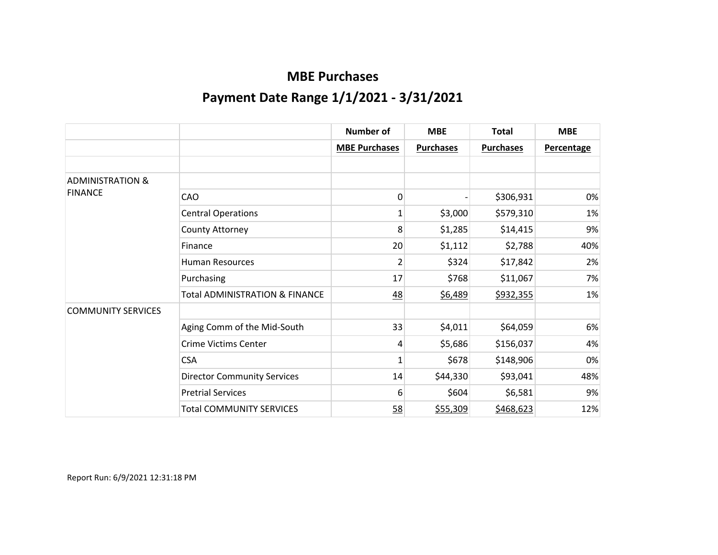|                             |                                           | <b>Number of</b>     | <b>MBE</b>       | <b>Total</b>     | <b>MBE</b>        |
|-----------------------------|-------------------------------------------|----------------------|------------------|------------------|-------------------|
|                             |                                           | <b>MBE Purchases</b> | <b>Purchases</b> | <b>Purchases</b> | <b>Percentage</b> |
|                             |                                           |                      |                  |                  |                   |
| <b>ADMINISTRATION &amp;</b> |                                           |                      |                  |                  |                   |
| <b>FINANCE</b>              | CAO                                       | 0                    |                  | \$306,931        | 0%                |
|                             | <b>Central Operations</b>                 | $\mathbf{1}$         | \$3,000          | \$579,310        | 1%                |
|                             | County Attorney                           | 8                    | \$1,285          | \$14,415         | 9%                |
|                             | Finance                                   | 20                   | \$1,112          | \$2,788          | 40%               |
|                             | <b>Human Resources</b>                    | 2                    | \$324            | \$17,842         | 2%                |
|                             | Purchasing                                | 17                   | \$768            | \$11,067         | 7%                |
|                             | <b>Total ADMINISTRATION &amp; FINANCE</b> | 48                   | \$6,489          | \$932,355        | 1%                |
| <b>COMMUNITY SERVICES</b>   |                                           |                      |                  |                  |                   |
|                             | Aging Comm of the Mid-South               | 33                   | \$4,011          | \$64,059         | 6%                |
|                             | <b>Crime Victims Center</b>               | 4                    | \$5,686          | \$156,037        | 4%                |
|                             | <b>CSA</b>                                | 1                    | \$678            | \$148,906        | $0\%$             |
|                             | <b>Director Community Services</b>        | 14                   | \$44,330         | \$93,041         | 48%               |
|                             | <b>Pretrial Services</b>                  | 6                    | \$604            | \$6,581          | 9%                |
|                             | <b>Total COMMUNITY SERVICES</b>           | 58                   | \$55,309         | \$468,623        | 12%               |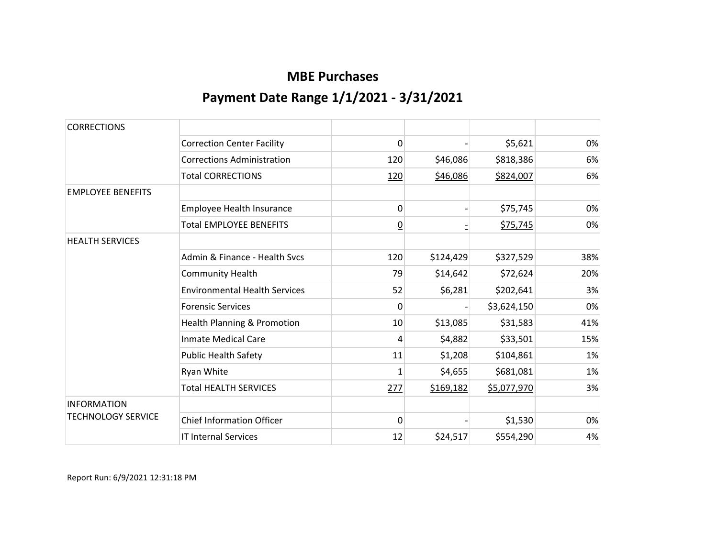| <b>CORRECTIONS</b>        |                                      |                |           |             |     |
|---------------------------|--------------------------------------|----------------|-----------|-------------|-----|
|                           | <b>Correction Center Facility</b>    | 0              |           | \$5,621     | 0%  |
|                           | <b>Corrections Administration</b>    | 120            | \$46,086  | \$818,386   | 6%  |
|                           | <b>Total CORRECTIONS</b>             | 120            | \$46,086  | \$824,007   | 6%  |
| <b>EMPLOYEE BENEFITS</b>  |                                      |                |           |             |     |
|                           | Employee Health Insurance            | 0              |           | \$75,745    | 0%  |
|                           | <b>Total EMPLOYEE BENEFITS</b>       | $\overline{0}$ |           | \$75,745    | 0%  |
| <b>HEALTH SERVICES</b>    |                                      |                |           |             |     |
|                           | Admin & Finance - Health Sycs        | 120            | \$124,429 | \$327,529   | 38% |
|                           | <b>Community Health</b>              | 79             | \$14,642  | \$72,624    | 20% |
|                           | <b>Environmental Health Services</b> | 52             | \$6,281   | \$202,641   | 3%  |
|                           | <b>Forensic Services</b>             | $\Omega$       |           | \$3,624,150 | 0%  |
|                           | Health Planning & Promotion          | 10             | \$13,085  | \$31,583    | 41% |
|                           | <b>Inmate Medical Care</b>           | 4              | \$4,882   | \$33,501    | 15% |
|                           | <b>Public Health Safety</b>          | 11             | \$1,208   | \$104,861   | 1%  |
|                           | Ryan White                           | 1              | \$4,655   | \$681,081   | 1%  |
|                           | <b>Total HEALTH SERVICES</b>         | 277            | \$169,182 | \$5,077,970 | 3%  |
| <b>INFORMATION</b>        |                                      |                |           |             |     |
| <b>TECHNOLOGY SERVICE</b> | <b>Chief Information Officer</b>     | $\Omega$       |           | \$1,530     | 0%  |
|                           | <b>IT Internal Services</b>          | 12             | \$24,517  | \$554,290   | 4%  |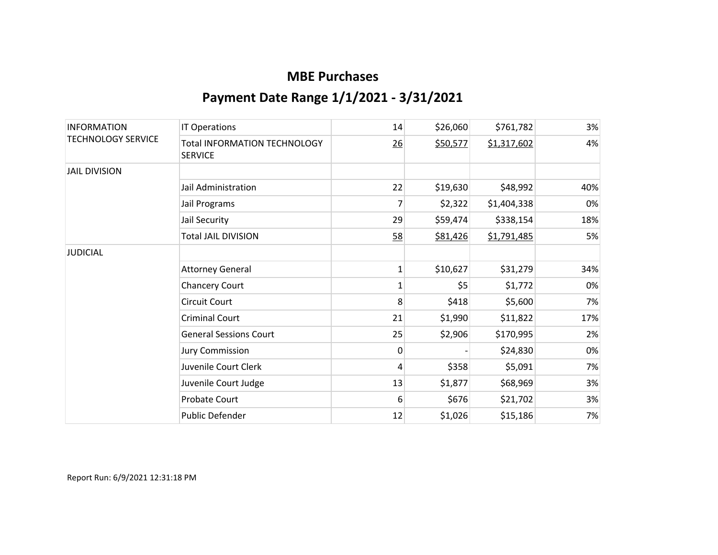| <b>INFORMATION</b><br><b>TECHNOLOGY SERVICE</b> | <b>IT Operations</b>                                  | 14           | \$26,060 | \$761,782   | 3%  |
|-------------------------------------------------|-------------------------------------------------------|--------------|----------|-------------|-----|
|                                                 | <b>Total INFORMATION TECHNOLOGY</b><br><b>SERVICE</b> | 26           | \$50,577 | \$1,317,602 | 4%  |
| <b>JAIL DIVISION</b>                            |                                                       |              |          |             |     |
|                                                 | Jail Administration                                   | 22           | \$19,630 | \$48,992    | 40% |
|                                                 | Jail Programs                                         | 7            | \$2,322  | \$1,404,338 | 0%  |
|                                                 | Jail Security                                         | 29           | \$59,474 | \$338,154   | 18% |
|                                                 | <b>Total JAIL DIVISION</b>                            | 58           | \$81,426 | \$1,791,485 | 5%  |
| <b>JUDICIAL</b>                                 |                                                       |              |          |             |     |
|                                                 | <b>Attorney General</b>                               | $\mathbf{1}$ | \$10,627 | \$31,279    | 34% |
|                                                 | <b>Chancery Court</b>                                 | $\mathbf{1}$ | \$5      | \$1,772     | 0%  |
|                                                 | <b>Circuit Court</b>                                  | 8            | \$418    | \$5,600     | 7%  |
|                                                 | <b>Criminal Court</b>                                 | 21           | \$1,990  | \$11,822    | 17% |
|                                                 | <b>General Sessions Court</b>                         | 25           | \$2,906  | \$170,995   | 2%  |
|                                                 | <b>Jury Commission</b>                                | $\mathbf{0}$ |          | \$24,830    | 0%  |
|                                                 | Juvenile Court Clerk                                  | 4            | \$358    | \$5,091     | 7%  |
|                                                 | Juvenile Court Judge                                  | 13           | \$1,877  | \$68,969    | 3%  |
|                                                 | Probate Court                                         | 6            | \$676    | \$21,702    | 3%  |
|                                                 | Public Defender                                       | 12           | \$1,026  | \$15,186    | 7%  |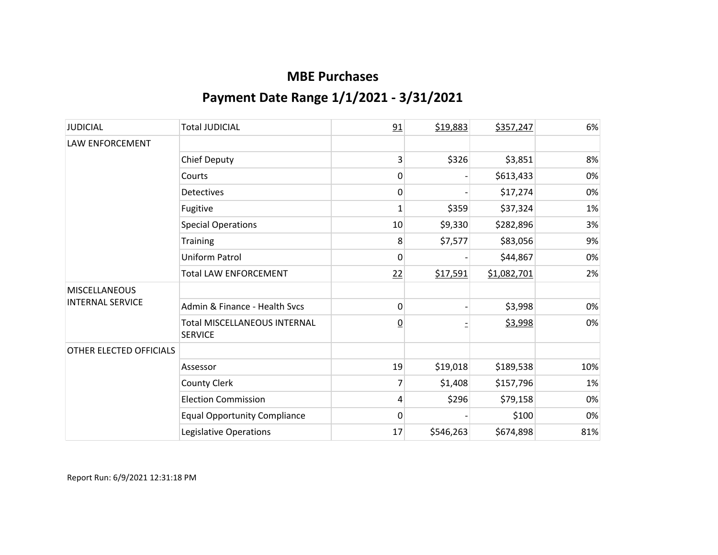| <b>JUDICIAL</b>         | <b>Total JUDICIAL</b>                                 | 91             | \$19,883  | \$357,247   | 6%  |
|-------------------------|-------------------------------------------------------|----------------|-----------|-------------|-----|
| <b>LAW ENFORCEMENT</b>  |                                                       |                |           |             |     |
|                         | <b>Chief Deputy</b>                                   | 3              | \$326     | \$3,851     | 8%  |
|                         | Courts                                                | 0              |           | \$613,433   | 0%  |
|                         | <b>Detectives</b>                                     | 0              |           | \$17,274    | 0%  |
|                         | Fugitive                                              | $\mathbf{1}$   | \$359     | \$37,324    | 1%  |
|                         | <b>Special Operations</b>                             | 10             | \$9,330   | \$282,896   | 3%  |
|                         | Training                                              | 8              | \$7,577   | \$83,056    | 9%  |
|                         | <b>Uniform Patrol</b>                                 | 0              |           | \$44,867    | 0%  |
|                         | <b>Total LAW ENFORCEMENT</b>                          | 22             | \$17,591  | \$1,082,701 | 2%  |
| <b>MISCELLANEOUS</b>    |                                                       |                |           |             |     |
| <b>INTERNAL SERVICE</b> | Admin & Finance - Health Svcs                         | 0              |           | \$3,998     | 0%  |
|                         | <b>Total MISCELLANEOUS INTERNAL</b><br><b>SERVICE</b> | $\overline{0}$ |           | \$3,998     | 0%  |
| OTHER ELECTED OFFICIALS |                                                       |                |           |             |     |
|                         | Assessor                                              | 19             | \$19,018  | \$189,538   | 10% |
|                         | <b>County Clerk</b>                                   | 7              | \$1,408   | \$157,796   | 1%  |
|                         | <b>Election Commission</b>                            | 4              | \$296     | \$79,158    | 0%  |
|                         | <b>Equal Opportunity Compliance</b>                   | 0              |           | \$100       | 0%  |
|                         | Legislative Operations                                | 17             | \$546,263 | \$674,898   | 81% |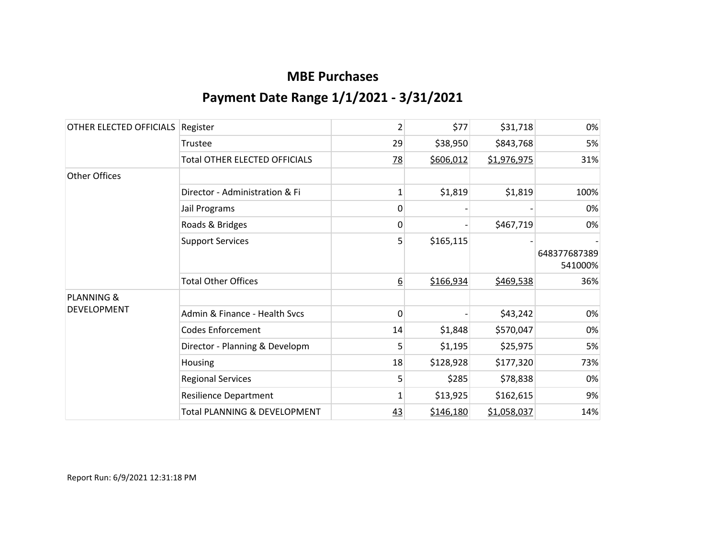| OTHER ELECTED OFFICIALS | Register                             | $\overline{2}$ | \$77      | \$31,718    | 0%                      |
|-------------------------|--------------------------------------|----------------|-----------|-------------|-------------------------|
|                         | Trustee                              | 29             | \$38,950  | \$843,768   | 5%                      |
|                         | <b>Total OTHER ELECTED OFFICIALS</b> | $\frac{78}{2}$ | \$606,012 | \$1,976,975 | 31%                     |
| Other Offices           |                                      |                |           |             |                         |
|                         | Director - Administration & Fi       | 1              | \$1,819   | \$1,819     | 100%                    |
|                         | Jail Programs                        | 0              |           |             | 0%                      |
|                         | Roads & Bridges                      | 0              |           | \$467,719   | 0%                      |
|                         | <b>Support Services</b>              | 5              | \$165,115 |             | 648377687389<br>541000% |
|                         | <b>Total Other Offices</b>           | 6              | \$166,934 | \$469,538   | 36%                     |
| <b>PLANNING &amp;</b>   |                                      |                |           |             |                         |
| <b>DEVELOPMENT</b>      | Admin & Finance - Health Svcs        | 0              |           | \$43,242    | 0%                      |
|                         | <b>Codes Enforcement</b>             | 14             | \$1,848   | \$570,047   | 0%                      |
|                         | Director - Planning & Developm       | 5              | \$1,195   | \$25,975    | 5%                      |
|                         | Housing                              | 18             | \$128,928 | \$177,320   | 73%                     |
|                         | <b>Regional Services</b>             | 5              | \$285     | \$78,838    | 0%                      |
|                         | <b>Resilience Department</b>         | $\mathbf 1$    | \$13,925  | \$162,615   | 9%                      |
|                         | Total PLANNING & DEVELOPMENT         | 43             | \$146,180 | \$1,058,037 | 14%                     |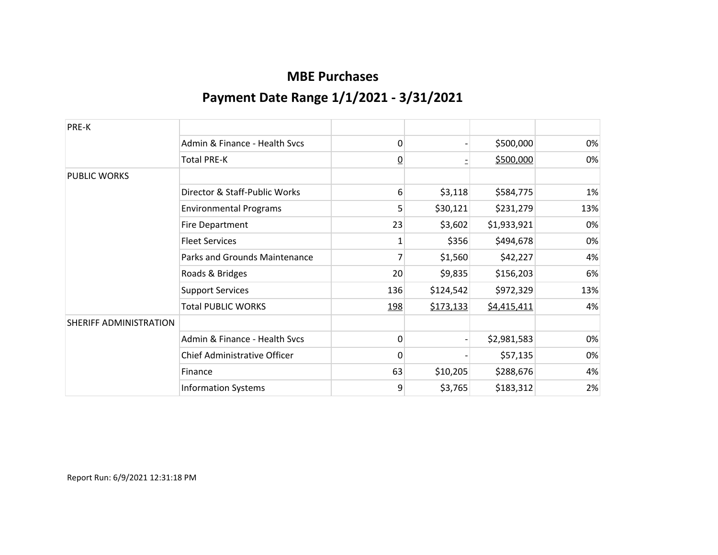| PRE-K                  |                               |                |           |             |     |
|------------------------|-------------------------------|----------------|-----------|-------------|-----|
|                        | Admin & Finance - Health Svcs | 0              |           | \$500,000   | 0%  |
|                        | <b>Total PRE-K</b>            | $\overline{0}$ |           | \$500,000   | 0%  |
| <b>PUBLIC WORKS</b>    |                               |                |           |             |     |
|                        | Director & Staff-Public Works | 6              | \$3,118   | \$584,775   | 1%  |
|                        | <b>Environmental Programs</b> | 5              | \$30,121  | \$231,279   | 13% |
|                        | <b>Fire Department</b>        | 23             | \$3,602   | \$1,933,921 | 0%  |
|                        | <b>Fleet Services</b>         | 1              | \$356     | \$494,678   | 0%  |
|                        | Parks and Grounds Maintenance | 7              | \$1,560   | \$42,227    | 4%  |
|                        | Roads & Bridges               | 20             | \$9,835   | \$156,203   | 6%  |
|                        | <b>Support Services</b>       | 136            | \$124,542 | \$972,329   | 13% |
|                        | <b>Total PUBLIC WORKS</b>     | 198            | \$173,133 | \$4,415,411 | 4%  |
| SHERIFF ADMINISTRATION |                               |                |           |             |     |
|                        | Admin & Finance - Health Svcs | 0              |           | \$2,981,583 | 0%  |
|                        | Chief Administrative Officer  | 0              |           | \$57,135    | 0%  |
|                        | Finance                       | 63             | \$10,205  | \$288,676   | 4%  |
|                        | <b>Information Systems</b>    | 9              | \$3,765   | \$183,312   | 2%  |